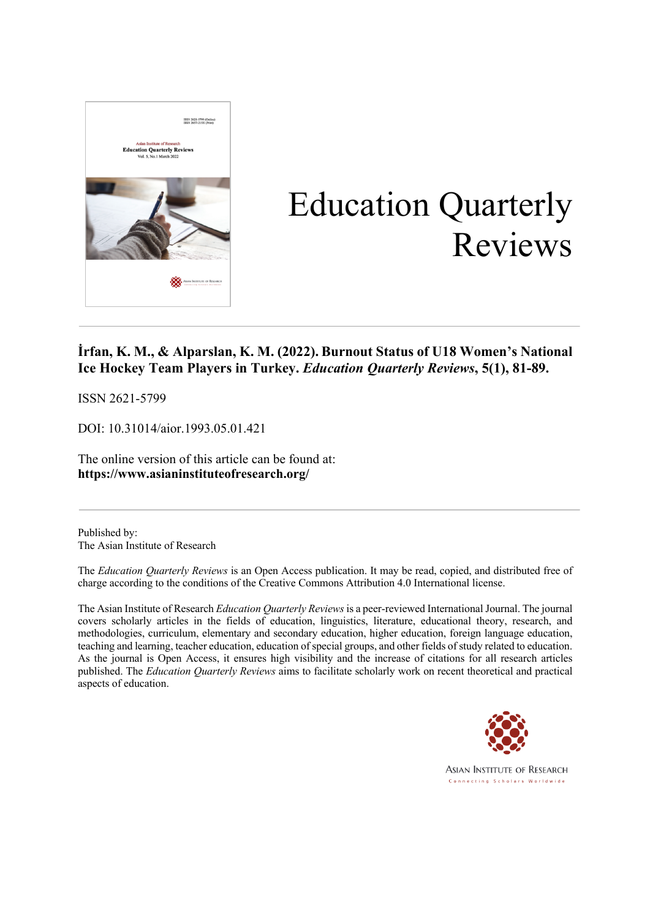

# Education Quarterly Reviews

#### **İrfan, K. M., & Alparslan, K. M. (2022). Burnout Status of U18 Women's National Ice Hockey Team Players in Turkey.** *Education Quarterly Reviews***, 5(1), 81-89.**

ISSN 2621-5799

DOI: 10.31014/aior.1993.05.01.421

The online version of this article can be found at: **https://www.asianinstituteofresearch.org/**

Published by: The Asian Institute of Research

The *Education Quarterly Reviews* is an Open Access publication. It may be read, copied, and distributed free of charge according to the conditions of the Creative Commons Attribution 4.0 International license.

The Asian Institute of Research *Education Quarterly Reviews* is a peer-reviewed International Journal. The journal covers scholarly articles in the fields of education, linguistics, literature, educational theory, research, and methodologies, curriculum, elementary and secondary education, higher education, foreign language education, teaching and learning, teacher education, education of special groups, and other fields of study related to education. As the journal is Open Access, it ensures high visibility and the increase of citations for all research articles published. The *Education Quarterly Reviews* aims to facilitate scholarly work on recent theoretical and practical aspects of education.

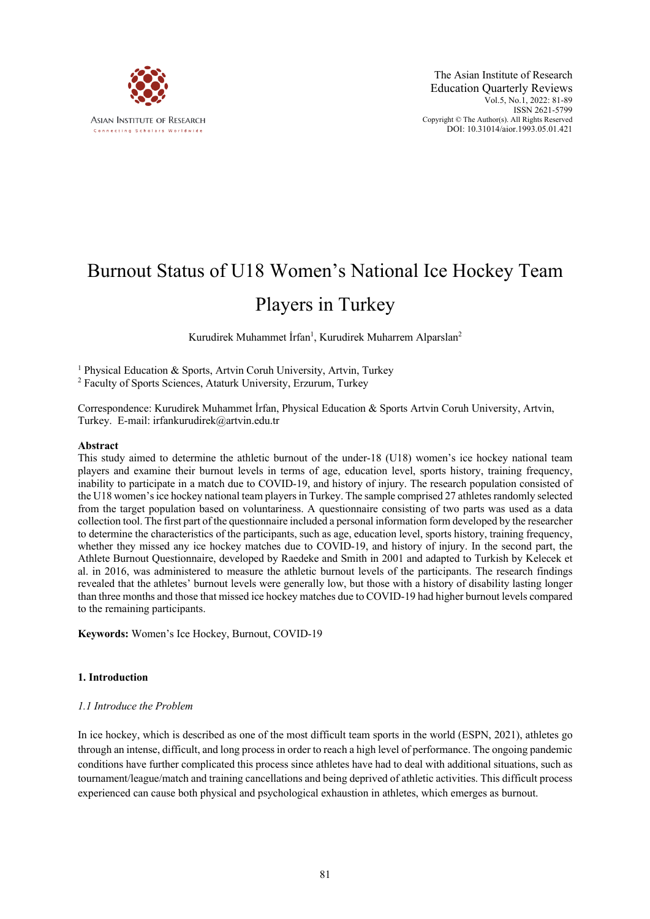

## Burnout Status of U18 Women's National Ice Hockey Team

### Players in Turkey

Kurudirek Muhammet İrfan<sup>1</sup>, Kurudirek Muharrem Alparslan<sup>2</sup>

<sup>1</sup> Physical Education & Sports, Artvin Coruh University, Artvin, Turkey

<sup>2</sup> Faculty of Sports Sciences, Ataturk University, Erzurum, Turkey

Correspondence: Kurudirek Muhammet İrfan, Physical Education & Sports Artvin Coruh University, Artvin, Turkey. E-mail: irfankurudirek@artvin.edu.tr

#### **Abstract**

This study aimed to determine the athletic burnout of the under-18 (U18) women's ice hockey national team players and examine their burnout levels in terms of age, education level, sports history, training frequency, inability to participate in a match due to COVID-19, and history of injury. The research population consisted of the U18 women's ice hockey national team players in Turkey. The sample comprised 27 athletes randomly selected from the target population based on voluntariness. A questionnaire consisting of two parts was used as a data collection tool. The first part of the questionnaire included a personal information form developed by the researcher to determine the characteristics of the participants, such as age, education level, sports history, training frequency, whether they missed any ice hockey matches due to COVID-19, and history of injury. In the second part, the Athlete Burnout Questionnaire, developed by Raedeke and Smith in 2001 and adapted to Turkish by Kelecek et al. in 2016, was administered to measure the athletic burnout levels of the participants. The research findings revealed that the athletes' burnout levels were generally low, but those with a history of disability lasting longer than three months and those that missed ice hockey matches due to COVID-19 had higher burnout levels compared to the remaining participants.

**Keywords:** Women's Ice Hockey, Burnout, COVID-19

#### **1. Introduction**

#### *1.1 Introduce the Problem*

In ice hockey, which is described as one of the most difficult team sports in the world (ESPN, 2021), athletes go through an intense, difficult, and long process in order to reach a high level of performance. The ongoing pandemic conditions have further complicated this process since athletes have had to deal with additional situations, such as tournament/league/match and training cancellations and being deprived of athletic activities. This difficult process experienced can cause both physical and psychological exhaustion in athletes, which emerges as burnout.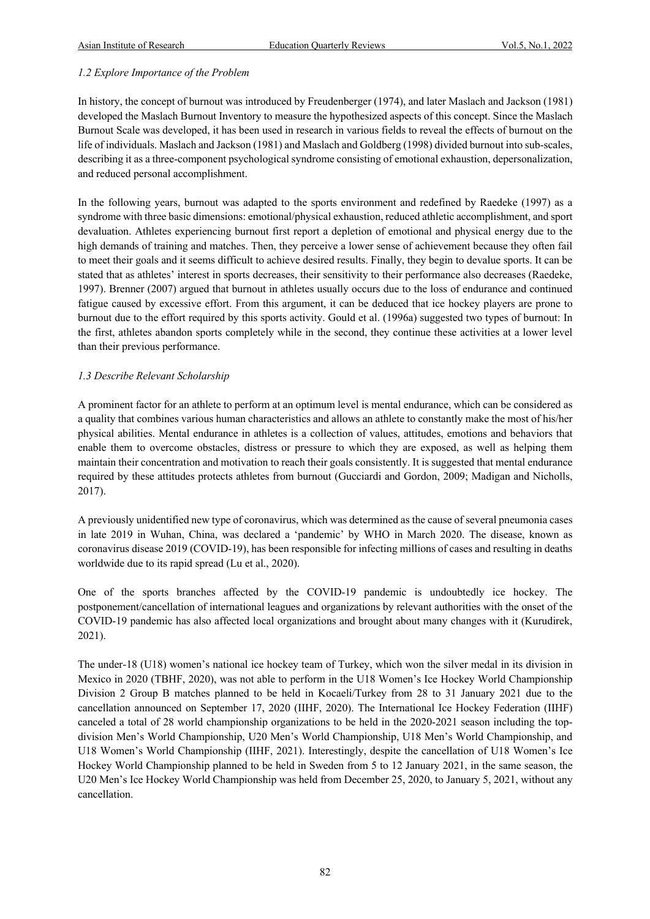#### *1.2 Explore Importance of the Problem*

In history, the concept of burnout was introduced by Freudenberger (1974), and later Maslach and Jackson (1981) developed the Maslach Burnout Inventory to measure the hypothesized aspects of this concept. Since the Maslach Burnout Scale was developed, it has been used in research in various fields to reveal the effects of burnout on the life of individuals. Maslach and Jackson (1981) and Maslach and Goldberg (1998) divided burnout into sub-scales, describing it as a three-component psychological syndrome consisting of emotional exhaustion, depersonalization, and reduced personal accomplishment.

In the following years, burnout was adapted to the sports environment and redefined by Raedeke (1997) as a syndrome with three basic dimensions: emotional/physical exhaustion, reduced athletic accomplishment, and sport devaluation. Athletes experiencing burnout first report a depletion of emotional and physical energy due to the high demands of training and matches. Then, they perceive a lower sense of achievement because they often fail to meet their goals and it seems difficult to achieve desired results. Finally, they begin to devalue sports. It can be stated that as athletes' interest in sports decreases, their sensitivity to their performance also decreases (Raedeke, 1997). Brenner (2007) argued that burnout in athletes usually occurs due to the loss of endurance and continued fatigue caused by excessive effort. From this argument, it can be deduced that ice hockey players are prone to burnout due to the effort required by this sports activity. Gould et al. (1996a) suggested two types of burnout: In the first, athletes abandon sports completely while in the second, they continue these activities at a lower level than their previous performance.

#### *1.3 Describe Relevant Scholarship*

A prominent factor for an athlete to perform at an optimum level is mental endurance, which can be considered as a quality that combines various human characteristics and allows an athlete to constantly make the most of his/her physical abilities. Mental endurance in athletes is a collection of values, attitudes, emotions and behaviors that enable them to overcome obstacles, distress or pressure to which they are exposed, as well as helping them maintain their concentration and motivation to reach their goals consistently. It is suggested that mental endurance required by these attitudes protects athletes from burnout (Gucciardi and Gordon, 2009; Madigan and Nicholls, 2017).

A previously unidentified new type of coronavirus, which was determined as the cause of several pneumonia cases in late 2019 in Wuhan, China, was declared a 'pandemic' by WHO in March 2020. The disease, known as coronavirus disease 2019 (COVID-19), has been responsible for infecting millions of cases and resulting in deaths worldwide due to its rapid spread (Lu et al., 2020).

One of the sports branches affected by the COVID-19 pandemic is undoubtedly ice hockey. The postponement/cancellation of international leagues and organizations by relevant authorities with the onset of the COVID-19 pandemic has also affected local organizations and brought about many changes with it (Kurudirek, 2021).

The under-18 (U18) women's national ice hockey team of Turkey, which won the silver medal in its division in Mexico in 2020 (TBHF, 2020), was not able to perform in the U18 Women's Ice Hockey World Championship Division 2 Group B matches planned to be held in Kocaeli/Turkey from 28 to 31 January 2021 due to the cancellation announced on September 17, 2020 (IIHF, 2020). The International Ice Hockey Federation (IIHF) canceled a total of 28 world championship organizations to be held in the 2020-2021 season including the topdivision Men's World Championship, U20 Men's World Championship, U18 Men's World Championship, and U18 Women's World Championship (IIHF, 2021). Interestingly, despite the cancellation of U18 Women's Ice Hockey World Championship planned to be held in Sweden from 5 to 12 January 2021, in the same season, the U20 Men's Ice Hockey World Championship was held from December 25, 2020, to January 5, 2021, without any cancellation.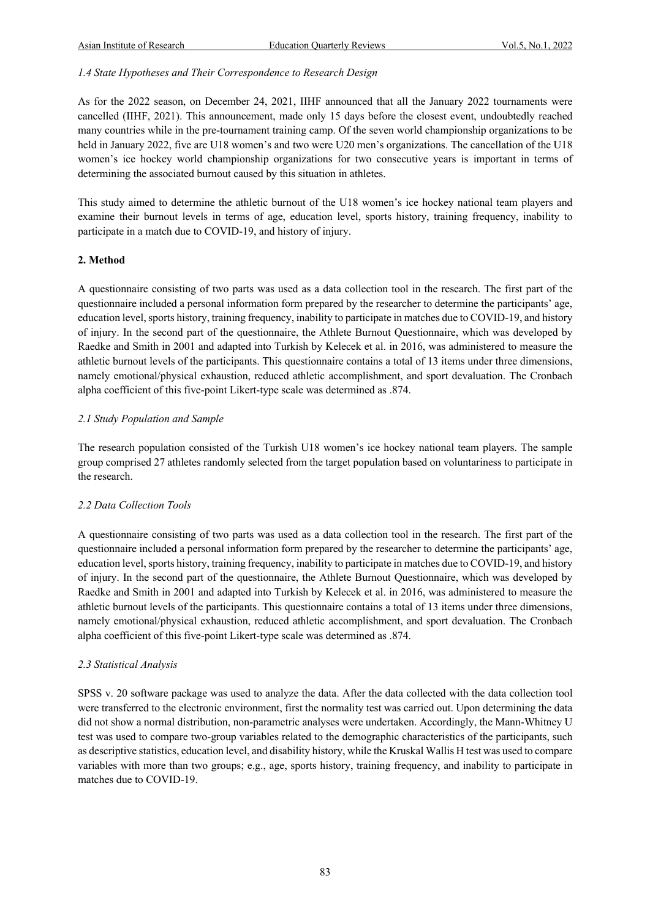#### *1.4 State Hypotheses and Their Correspondence to Research Design*

As for the 2022 season, on December 24, 2021, IIHF announced that all the January 2022 tournaments were cancelled (IIHF, 2021). This announcement, made only 15 days before the closest event, undoubtedly reached many countries while in the pre-tournament training camp. Of the seven world championship organizations to be held in January 2022, five are U18 women's and two were U20 men's organizations. The cancellation of the U18 women's ice hockey world championship organizations for two consecutive years is important in terms of determining the associated burnout caused by this situation in athletes.

This study aimed to determine the athletic burnout of the U18 women's ice hockey national team players and examine their burnout levels in terms of age, education level, sports history, training frequency, inability to participate in a match due to COVID-19, and history of injury.

#### **2. Method**

A questionnaire consisting of two parts was used as a data collection tool in the research. The first part of the questionnaire included a personal information form prepared by the researcher to determine the participants' age, education level, sports history, training frequency, inability to participate in matches due to COVID-19, and history of injury. In the second part of the questionnaire, the Athlete Burnout Questionnaire, which was developed by Raedke and Smith in 2001 and adapted into Turkish by Kelecek et al. in 2016, was administered to measure the athletic burnout levels of the participants. This questionnaire contains a total of 13 items under three dimensions, namely emotional/physical exhaustion, reduced athletic accomplishment, and sport devaluation. The Cronbach alpha coefficient of this five-point Likert-type scale was determined as .874.

#### *2.1 Study Population and Sample*

The research population consisted of the Turkish U18 women's ice hockey national team players. The sample group comprised 27 athletes randomly selected from the target population based on voluntariness to participate in the research.

#### *2.2 Data Collection Tools*

A questionnaire consisting of two parts was used as a data collection tool in the research. The first part of the questionnaire included a personal information form prepared by the researcher to determine the participants' age, education level, sports history, training frequency, inability to participate in matches due to COVID-19, and history of injury. In the second part of the questionnaire, the Athlete Burnout Questionnaire, which was developed by Raedke and Smith in 2001 and adapted into Turkish by Kelecek et al. in 2016, was administered to measure the athletic burnout levels of the participants. This questionnaire contains a total of 13 items under three dimensions, namely emotional/physical exhaustion, reduced athletic accomplishment, and sport devaluation. The Cronbach alpha coefficient of this five-point Likert-type scale was determined as .874.

#### *2.3 Statistical Analysis*

SPSS v. 20 software package was used to analyze the data. After the data collected with the data collection tool were transferred to the electronic environment, first the normality test was carried out. Upon determining the data did not show a normal distribution, non-parametric analyses were undertaken. Accordingly, the Mann-Whitney U test was used to compare two-group variables related to the demographic characteristics of the participants, such as descriptive statistics, education level, and disability history, while the Kruskal Wallis H test was used to compare variables with more than two groups; e.g., age, sports history, training frequency, and inability to participate in matches due to COVID-19.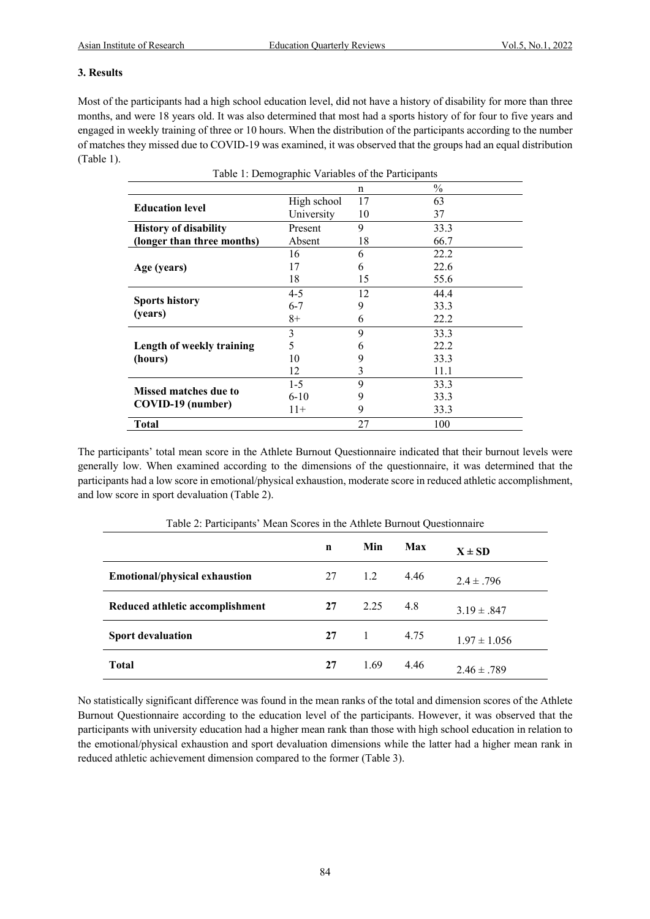#### **3. Results**

Most of the participants had a high school education level, did not have a history of disability for more than three months, and were 18 years old. It was also determined that most had a sports history of for four to five years and engaged in weekly training of three or 10 hours. When the distribution of the participants according to the number of matches they missed due to COVID-19 was examined, it was observed that the groups had an equal distribution (Table 1).

|                              |             | n  | $\frac{0}{0}$ |  |  |  |  |
|------------------------------|-------------|----|---------------|--|--|--|--|
|                              | High school | 17 | 63            |  |  |  |  |
| <b>Education level</b>       | University  | 10 | 37            |  |  |  |  |
| <b>History of disability</b> | Present     | 9  | 33.3          |  |  |  |  |
| (longer than three months)   | Absent      | 18 | 66.7          |  |  |  |  |
|                              | 16          | 6  | 22.2          |  |  |  |  |
| Age (years)                  | 17          | 6  | 22.6          |  |  |  |  |
|                              | 18          | 15 | 55.6          |  |  |  |  |
|                              | $4 - 5$     | 12 | 44.4          |  |  |  |  |
| <b>Sports history</b>        | $6 - 7$     | 9  | 33.3          |  |  |  |  |
| (years)                      | $8+$        | 6  | 22.2          |  |  |  |  |
|                              | 3           | 9  | 33.3          |  |  |  |  |
| Length of weekly training    | 5           | 6  | 22.2          |  |  |  |  |
| (hours)                      | 10          | 9  | 33.3          |  |  |  |  |
|                              | 12          | 3  | 11.1          |  |  |  |  |
|                              | $1-5$       | 9  | 33.3          |  |  |  |  |
| <b>Missed matches due to</b> | $6-10$      | 9  | 33.3          |  |  |  |  |
| COVID-19 (number)            | $11+$       | 9  | 33.3          |  |  |  |  |
| <b>Total</b>                 |             | 27 | 100           |  |  |  |  |

Table 1: Demographic Variables of the Participants

The participants' total mean score in the Athlete Burnout Questionnaire indicated that their burnout levels were generally low. When examined according to the dimensions of the questionnaire, it was determined that the participants had a low score in emotional/physical exhaustion, moderate score in reduced athletic accomplishment, and low score in sport devaluation (Table 2).

| 1 were 201 at the composite the correlation of the complete the component component to |    |      |      |                  |  |  |  |
|----------------------------------------------------------------------------------------|----|------|------|------------------|--|--|--|
|                                                                                        | n  | Min  | Max  | $X \pm SD$       |  |  |  |
| Emotional/physical exhaustion                                                          | 27 | 1.2  | 4.46 | $2.4 \pm .796$   |  |  |  |
| Reduced athletic accomplishment                                                        | 27 | 2.25 | 4.8  | $3.19 \pm .847$  |  |  |  |
| <b>Sport devaluation</b>                                                               | 27 |      | 4.75 | $1.97 \pm 1.056$ |  |  |  |
| <b>Total</b>                                                                           | 27 | 1.69 | 4.46 | $2.46 \pm .789$  |  |  |  |

Table 2: Participants' Mean Scores in the Athlete Burnout Questionnaire

No statistically significant difference was found in the mean ranks of the total and dimension scores of the Athlete Burnout Questionnaire according to the education level of the participants. However, it was observed that the participants with university education had a higher mean rank than those with high school education in relation to the emotional/physical exhaustion and sport devaluation dimensions while the latter had a higher mean rank in reduced athletic achievement dimension compared to the former (Table 3).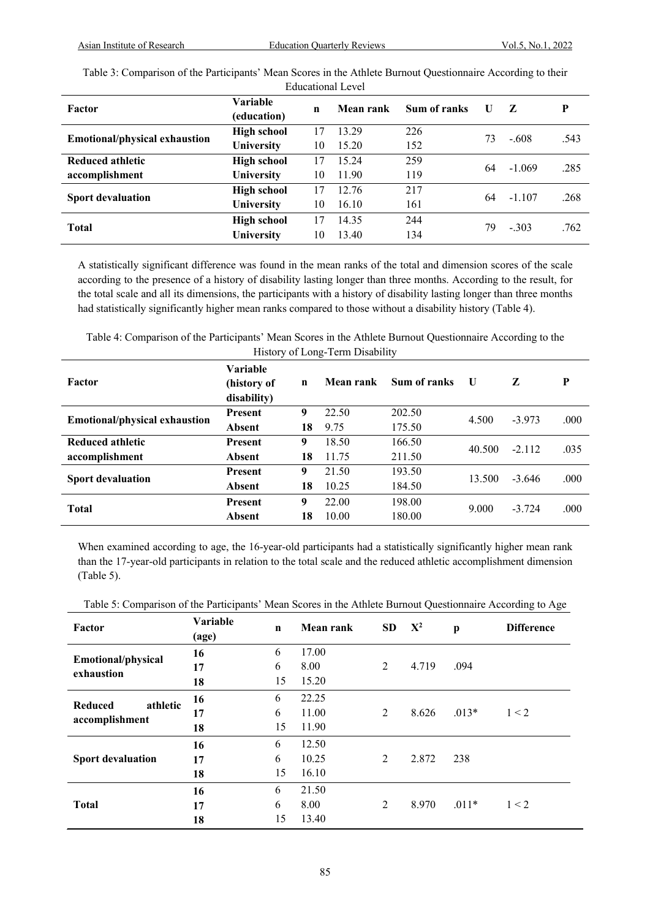| <b>Educational Level</b>             |                    |    |           |              |    |          |      |  |
|--------------------------------------|--------------------|----|-----------|--------------|----|----------|------|--|
| Factor                               | Variable           | n  | Mean rank | Sum of ranks | U  | Z        | P    |  |
|                                      | (education)        |    |           |              |    |          |      |  |
| <b>Emotional/physical exhaustion</b> | <b>High school</b> | 17 | 13.29     | 226          | 73 | $-.608$  | .543 |  |
|                                      | University         | 10 | 15.20     | 152          |    |          |      |  |
| Reduced athletic                     | <b>High school</b> | 17 | 15.24     | 259          | 64 | $-1.069$ | .285 |  |
| accomplishment                       | University         | 10 | 11.90     | 119          |    |          |      |  |
| <b>Sport devaluation</b>             | <b>High school</b> | 17 | 12.76     | 217          | 64 | $-1.107$ | .268 |  |
|                                      | University         | 10 | 16.10     | 161          |    |          |      |  |
|                                      | <b>High school</b> | 17 | 14.35     | 244          |    | $-.303$  |      |  |
| <b>Total</b>                         | University         | 10 | 13.40     | 134          | 79 |          | .762 |  |

Table 3: Comparison of the Participants' Mean Scores in the Athlete Burnout Questionnaire According to their

A statistically significant difference was found in the mean ranks of the total and dimension scores of the scale according to the presence of a history of disability lasting longer than three months. According to the result, for the total scale and all its dimensions, the participants with a history of disability lasting longer than three months had statistically significantly higher mean ranks compared to those without a disability history (Table 4).

Table 4: Comparison of the Participants' Mean Scores in the Athlete Burnout Questionnaire According to the History of Long-Term Disability

| Factor                        | <b>Variable</b><br>(history of<br>disability) | $\mathbf n$ | Mean rank | Sum of ranks | U      | Z        | P    |
|-------------------------------|-----------------------------------------------|-------------|-----------|--------------|--------|----------|------|
| Emotional/physical exhaustion | <b>Present</b>                                | 9           | 22.50     | 202.50       | 4.500  | $-3.973$ | .000 |
|                               | Absent                                        | 18          | 9.75      | 175.50       |        |          |      |
| Reduced athletic              | <b>Present</b>                                | 9           | 18.50     | 166.50       | 40.500 | $-2.112$ | .035 |
| accomplishment                | Absent                                        | 18          | 11.75     | 211.50       |        |          |      |
| <b>Sport devaluation</b>      | <b>Present</b>                                | 9           | 21.50     | 193.50       | 13.500 | $-3.646$ | .000 |
|                               | Absent                                        | 18          | 10.25     | 184.50       |        |          |      |
| <b>Total</b>                  | <b>Present</b>                                | 9           | 22.00     | 198.00       | 9.000  | $-3.724$ | .000 |
|                               | Absent                                        | 18          | 10.00     | 180.00       |        |          |      |

When examined according to age, the 16-year-old participants had a statistically significantly higher mean rank than the 17-year-old participants in relation to the total scale and the reduced athletic accomplishment dimension (Table 5).

|  |  |  | Table 5: Comparison of the Participants' Mean Scores in the Athlete Burnout Questionnaire According to Age |
|--|--|--|------------------------------------------------------------------------------------------------------------|
|  |  |  |                                                                                                            |

| Factor                                       | Variable<br>(age) | $\mathbf n$ | <b>Mean rank</b> | <b>SD</b>      | ${\bf X}^2$ | $\mathbf{p}$ | <b>Difference</b> |
|----------------------------------------------|-------------------|-------------|------------------|----------------|-------------|--------------|-------------------|
| Emotional/physical                           | 16                | 6           | 17.00            |                |             |              |                   |
| exhaustion                                   | 17                | 6           | 8.00             | $\overline{2}$ | 4.719       | .094         |                   |
|                                              | 18                | 15          | 15.20            |                |             |              |                   |
| <b>Reduced</b><br>athletic<br>accomplishment | 16                | 6           | 22.25            |                |             |              |                   |
|                                              | 17                | 6           | 11.00            | 2              | 8.626       | $.013*$      | 1 < 2             |
|                                              | 18                | 15          | 11.90            |                |             |              |                   |
|                                              | 16                | 6           | 12.50            |                |             |              |                   |
| <b>Sport devaluation</b>                     | 17                | 6           | 10.25            | 2              | 2.872       | 238          |                   |
|                                              | 18                | 15          | 16.10            |                |             |              |                   |
| <b>Total</b>                                 | 16                | 6           | 21.50            |                |             |              |                   |
|                                              | 17                | 6           | 8.00             | $\overline{2}$ | 8.970       | $.011*$      | 1 < 2             |
|                                              | 18                | 15          | 13.40            |                |             |              |                   |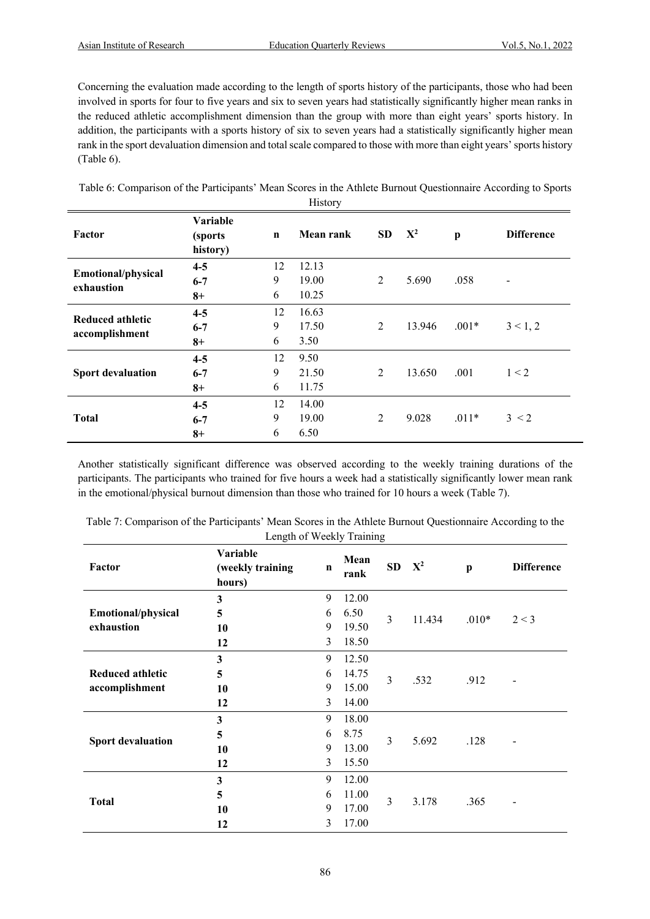Concerning the evaluation made according to the length of sports history of the participants, those who had been involved in sports for four to five years and six to seven years had statistically significantly higher mean ranks in the reduced athletic accomplishment dimension than the group with more than eight years' sports history. In addition, the participants with a sports history of six to seven years had a statistically significantly higher mean rank in the sport devaluation dimension and total scale compared to those with more than eight years' sports history (Table 6).

Table 6: Comparison of the Participants' Mean Scores in the Athlete Burnout Questionnaire According to Sports History

| Factor                                  | Variable<br>(sports)<br>history) | $\mathbf n$  | <b>Mean rank</b>       | <b>SD</b>      | ${\bf X}^2$ | $\mathbf{p}$ | <b>Difference</b> |
|-----------------------------------------|----------------------------------|--------------|------------------------|----------------|-------------|--------------|-------------------|
| <b>Emotional/physical</b><br>exhaustion | $4 - 5$                          | 12<br>9      | 12.13<br>19.00         | $\overline{2}$ | 5.690       | .058         |                   |
|                                         | $6 - 7$<br>$8+$                  | 6            | 10.25                  |                |             |              |                   |
| Reduced athletic<br>accomplishment      | $4 - 5$<br>$6 - 7$<br>$8+$       | 12<br>9<br>6 | 16.63<br>17.50<br>3.50 | $\overline{2}$ | 13.946      | $.001*$      | 3 < 1, 2          |
| <b>Sport devaluation</b>                | $4 - 5$<br>$6 - 7$<br>$8+$       | 12<br>9<br>6 | 9.50<br>21.50<br>11.75 | 2              | 13.650      | .001         | 1 < 2             |
| <b>Total</b>                            | $4 - 5$<br>$6 - 7$<br>$8+$       | 12<br>9<br>6 | 14.00<br>19.00<br>6.50 | 2              | 9.028       | $.011*$      | 3 < 2             |

Another statistically significant difference was observed according to the weekly training durations of the participants. The participants who trained for five hours a week had a statistically significantly lower mean rank in the emotional/physical burnout dimension than those who trained for 10 hours a week (Table 7).

| Length of <i>weekly</i> Framing           |                                        |             |              |                |                   |              |                   |  |  |
|-------------------------------------------|----------------------------------------|-------------|--------------|----------------|-------------------|--------------|-------------------|--|--|
| Factor                                    | Variable<br>(weekly training<br>hours) | $\mathbf n$ | Mean<br>rank |                | SD X <sup>2</sup> | $\mathbf{p}$ | <b>Difference</b> |  |  |
|                                           | 3                                      | 9           | 12.00        |                |                   |              |                   |  |  |
| Emotional/physical                        | 5                                      | 6           | 6.50         | $\overline{3}$ | 11.434            | $.010*$      | 2 < 3             |  |  |
| exhaustion                                | 10                                     | 9           | 19.50        |                |                   |              |                   |  |  |
|                                           | 12                                     | 3           | 18.50        |                |                   |              |                   |  |  |
| <b>Reduced athletic</b><br>accomplishment | 3                                      | 9           | 12.50        |                | .532              |              |                   |  |  |
|                                           | 5                                      | 6           | 14.75        | $\overline{3}$ |                   | .912         |                   |  |  |
|                                           | 10                                     | 9           | 15.00        |                |                   |              |                   |  |  |
|                                           | 12                                     | 3           | 14.00        |                |                   |              |                   |  |  |
|                                           | 3                                      | 9           | 18.00        |                | 5.692             |              |                   |  |  |
| <b>Sport devaluation</b>                  | 5                                      | 6           | 8.75         | 3              |                   | .128         |                   |  |  |
|                                           | 10                                     | 9           | 13.00        |                |                   |              |                   |  |  |
|                                           | 12                                     | 3           | 15.50        |                |                   |              |                   |  |  |
|                                           | 3                                      | 9           | 12.00        |                |                   |              |                   |  |  |
| <b>Total</b>                              | 5                                      | 6           | 11.00        | 3              |                   | .365         |                   |  |  |
|                                           | 10                                     | 9           | 17.00        |                | 3.178             |              |                   |  |  |
|                                           | 12                                     | 3           | 17.00        |                |                   |              |                   |  |  |

Table 7: Comparison of the Participants' Mean Scores in the Athlete Burnout Questionnaire According to the  $\det_{\mathbf{z}} \mathbf{L}$  of Weekly Training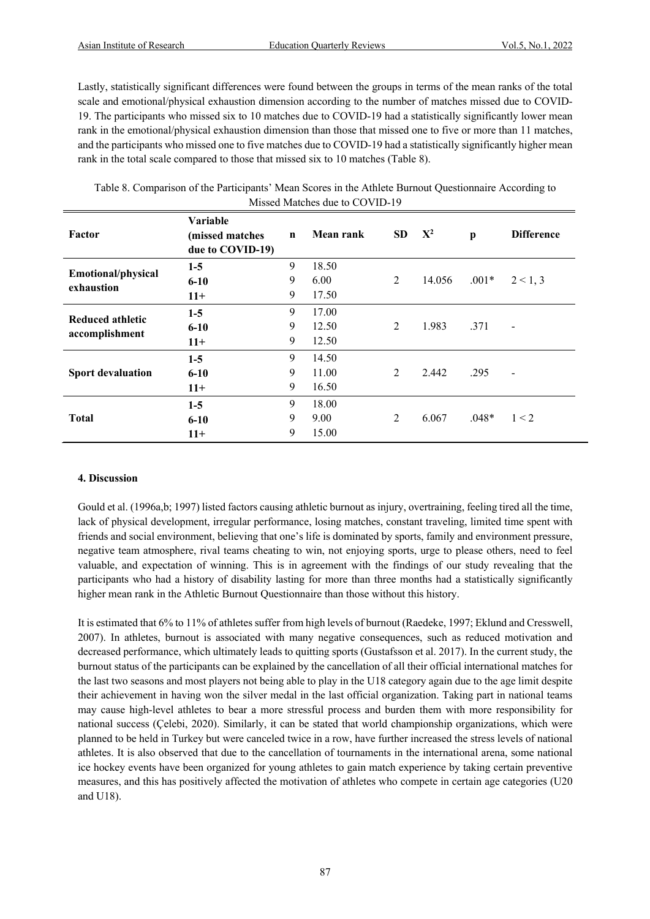Lastly, statistically significant differences were found between the groups in terms of the mean ranks of the total scale and emotional/physical exhaustion dimension according to the number of matches missed due to COVID-19. The participants who missed six to 10 matches due to COVID-19 had a statistically significantly lower mean rank in the emotional/physical exhaustion dimension than those that missed one to five or more than 11 matches, and the participants who missed one to five matches due to COVID-19 had a statistically significantly higher mean rank in the total scale compared to those that missed six to 10 matches (Table 8).

Table 8. Comparison of the Participants' Mean Scores in the Athlete Burnout Questionnaire According to Missed Matches due to COVID-19

| Factor                    | Variable<br>(missed matches<br>due to COVID-19) | $\mathbf n$ | Mean rank | <b>SD</b>      | ${\bf X}^2$ | $\mathbf{p}$ | <b>Difference</b>        |
|---------------------------|-------------------------------------------------|-------------|-----------|----------------|-------------|--------------|--------------------------|
| <b>Emotional/physical</b> | $1-5$                                           | 9           | 18.50     |                |             |              |                          |
| exhaustion                | $6 - 10$                                        | 9           | 6.00      | $\overline{2}$ | 14.056      | $.001*$      | 2 < 1, 3                 |
|                           | $11+$                                           | 9           | 17.50     |                |             |              |                          |
| Reduced athletic          | $1-5$                                           | 9           | 17.00     |                |             |              |                          |
|                           | $6 - 10$                                        | 9           | 12.50     | 2              | 1.983       | .371         | $\overline{\phantom{0}}$ |
| accomplishment            | $11+$                                           | 9           | 12.50     |                |             |              |                          |
|                           | $1-5$                                           | 9           | 14.50     |                |             |              |                          |
| <b>Sport devaluation</b>  | $6 - 10$                                        | 9           | 11.00     | 2              | 2.442       | .295         | $\overline{\phantom{a}}$ |
|                           | $11+$                                           | 9           | 16.50     |                |             |              |                          |
|                           | $1-5$                                           | 9           | 18.00     |                |             |              |                          |
| <b>Total</b>              | $6 - 10$                                        | 9           | 9.00      | 2              | 6.067       | $.048*$      | 1 < 2                    |
|                           | $11+$                                           | 9           | 15.00     |                |             |              |                          |

#### **4. Discussion**

Gould et al. (1996a,b; 1997) listed factors causing athletic burnout as injury, overtraining, feeling tired all the time, lack of physical development, irregular performance, losing matches, constant traveling, limited time spent with friends and social environment, believing that one's life is dominated by sports, family and environment pressure, negative team atmosphere, rival teams cheating to win, not enjoying sports, urge to please others, need to feel valuable, and expectation of winning. This is in agreement with the findings of our study revealing that the participants who had a history of disability lasting for more than three months had a statistically significantly higher mean rank in the Athletic Burnout Questionnaire than those without this history.

It is estimated that 6% to 11% of athletes suffer from high levels of burnout (Raedeke, 1997; Eklund and Cresswell, 2007). In athletes, burnout is associated with many negative consequences, such as reduced motivation and decreased performance, which ultimately leads to quitting sports (Gustafsson et al. 2017). In the current study, the burnout status of the participants can be explained by the cancellation of all their official international matches for the last two seasons and most players not being able to play in the U18 category again due to the age limit despite their achievement in having won the silver medal in the last official organization. Taking part in national teams may cause high-level athletes to bear a more stressful process and burden them with more responsibility for national success (Çelebi, 2020). Similarly, it can be stated that world championship organizations, which were planned to be held in Turkey but were canceled twice in a row, have further increased the stress levels of national athletes. It is also observed that due to the cancellation of tournaments in the international arena, some national ice hockey events have been organized for young athletes to gain match experience by taking certain preventive measures, and this has positively affected the motivation of athletes who compete in certain age categories (U20 and U18).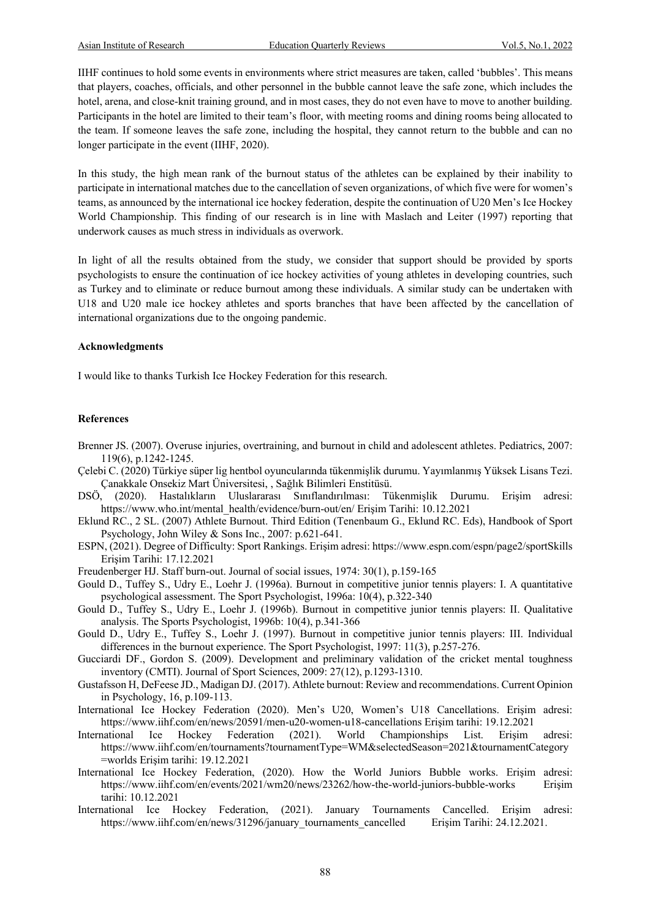IIHF continues to hold some events in environments where strict measures are taken, called 'bubbles'. This means that players, coaches, officials, and other personnel in the bubble cannot leave the safe zone, which includes the hotel, arena, and close-knit training ground, and in most cases, they do not even have to move to another building. Participants in the hotel are limited to their team's floor, with meeting rooms and dining rooms being allocated to the team. If someone leaves the safe zone, including the hospital, they cannot return to the bubble and can no longer participate in the event (IIHF, 2020).

In this study, the high mean rank of the burnout status of the athletes can be explained by their inability to participate in international matches due to the cancellation of seven organizations, of which five were for women's teams, as announced by the international ice hockey federation, despite the continuation of U20 Men's Ice Hockey World Championship. This finding of our research is in line with Maslach and Leiter (1997) reporting that underwork causes as much stress in individuals as overwork.

In light of all the results obtained from the study, we consider that support should be provided by sports psychologists to ensure the continuation of ice hockey activities of young athletes in developing countries, such as Turkey and to eliminate or reduce burnout among these individuals. A similar study can be undertaken with U18 and U20 male ice hockey athletes and sports branches that have been affected by the cancellation of international organizations due to the ongoing pandemic.

#### **Acknowledgments**

I would like to thanks Turkish Ice Hockey Federation for this research.

#### **References**

- Brenner JS. (2007). Overuse injuries, overtraining, and burnout in child and adolescent athletes. Pediatrics, 2007: 119(6), p.1242-1245.
- Çelebi C. (2020) Türkiye süper lig hentbol oyuncularında tükenmişlik durumu. Yayımlanmış Yüksek Lisans Tezi. Çanakkale Onsekiz Mart Üniversitesi, , Sağlık Bilimleri Enstitüsü.
- DSÖ, (2020). Hastalıkların Uluslararası Sınıflandırılması: Tükenmişlik Durumu. Erişim adresi: https://www.who.int/mental\_health/evidence/burn-out/en/ Erişim Tarihi: 10.12.2021
- Eklund RC., 2 SL. (2007) Athlete Burnout. Third Edition (Tenenbaum G., Eklund RC. Eds), Handbook of Sport Psychology, John Wiley & Sons Inc., 2007: p.621-641.
- ESPN, (2021). Degree of Difficulty: Sport Rankings. Erişim adresi: https://www.espn.com/espn/page2/sportSkills Erişim Tarihi: 17.12.2021
- Freudenberger HJ. Staff burn-out. Journal of social issues, 1974: 30(1), p.159-165
- Gould D., Tuffey S., Udry E., Loehr J. (1996a). Burnout in competitive junior tennis players: I. A quantitative psychological assessment. The Sport Psychologist, 1996a: 10(4), p.322-340
- Gould D., Tuffey S., Udry E., Loehr J. (1996b). Burnout in competitive junior tennis players: II. Qualitative analysis. The Sports Psychologist, 1996b: 10(4), p.341-366
- Gould D., Udry E., Tuffey S., Loehr J. (1997). Burnout in competitive junior tennis players: III. Individual differences in the burnout experience. The Sport Psychologist, 1997: 11(3), p.257-276.
- Gucciardi DF., Gordon S. (2009). Development and preliminary validation of the cricket mental toughness inventory (CMTI). Journal of Sport Sciences, 2009: 27(12), p.1293-1310.
- Gustafsson H, DeFeese JD., Madigan DJ. (2017). Athlete burnout: Review and recommendations. Current Opinion in Psychology, 16, p.109-113.
- International Ice Hockey Federation (2020). Men's U20, Women's U18 Cancellations. Erişim adresi: https://www.iihf.com/en/news/20591/men-u20-women-u18-cancellations Erişim tarihi: 19.12.2021
- International Ice Hockey Federation (2021). World Championships List. Erişim adresi: https://www.iihf.com/en/tournaments?tournamentType=WM&selectedSeason=2021&tournamentCategory =worlds Erişim tarihi: 19.12.2021
- International Ice Hockey Federation, (2020). How the World Juniors Bubble works. Erişim adresi: https://www.iihf.com/en/events/2021/wm20/news/23262/how-the-world-juniors-bubble-works Erişim tarihi: 10.12.2021
- International Ice Hockey Federation, (2021). January Tournaments Cancelled. Erişim adresi: https://www.iihf.com/en/news/31296/january tournaments cancelled Erişim Tarihi: 24.12.2021.